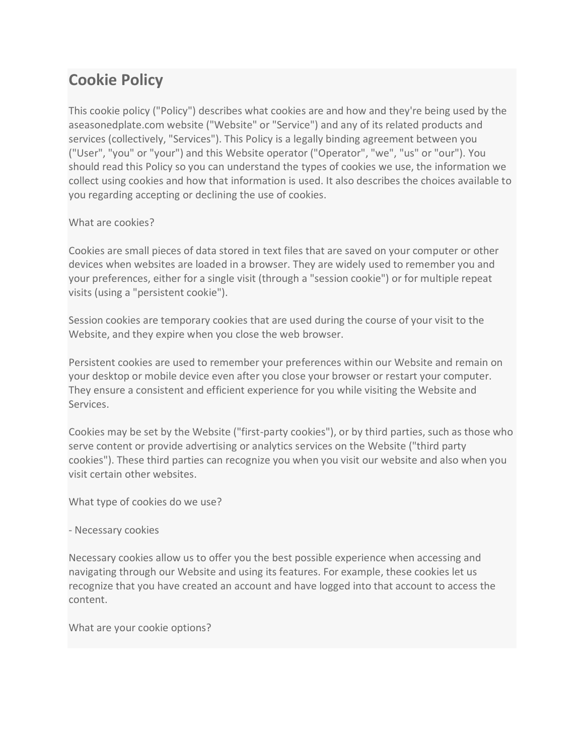# **Cookie Policy**

This cookie policy ("Policy") describes what cookies are and how and they're being used by the aseasonedplate.com website ("Website" or "Service") and any of its related products and services (collectively, "Services"). This Policy is a legally binding agreement between you ("User", "you" or "your") and this Website operator ("Operator", "we", "us" or "our"). You should read this Policy so you can understand the types of cookies we use, the information we collect using cookies and how that information is used. It also describes the choices available to you regarding accepting or declining the use of cookies.

# What are cookies?

Cookies are small pieces of data stored in text files that are saved on your computer or other devices when websites are loaded in a browser. They are widely used to remember you and your preferences, either for a single visit (through a "session cookie") or for multiple repeat visits (using a "persistent cookie").

Session cookies are temporary cookies that are used during the course of your visit to the Website, and they expire when you close the web browser.

Persistent cookies are used to remember your preferences within our Website and remain on your desktop or mobile device even after you close your browser or restart your computer. They ensure a consistent and efficient experience for you while visiting the Website and Services.

Cookies may be set by the Website ("first-party cookies"), or by third parties, such as those who serve content or provide advertising or analytics services on the Website ("third party cookies"). These third parties can recognize you when you visit our website and also when you visit certain other websites.

What type of cookies do we use?

# - Necessary cookies

Necessary cookies allow us to offer you the best possible experience when accessing and navigating through our Website and using its features. For example, these cookies let us recognize that you have created an account and have logged into that account to access the content.

What are your cookie options?